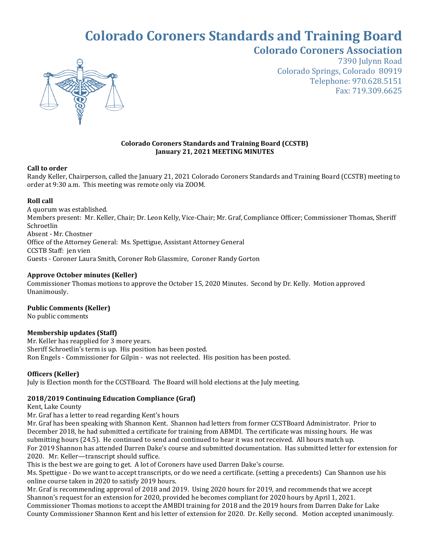# **Colorado Coroners Standards and Training Board Colorado Coroners Association**



7390 Julynn Road Colorado Springs, Colorado 80919 Telephone: 970.628.5151 Fax: 719.309.6625

### **Colorado Coroners Standards and Training Board (CCSTB) January 21, 2021 MEETING MINUTES**

### **Call to order**

Randy Keller, Chairperson, called the January 21, 2021 Colorado Coroners Standards and Training Board (CCSTB) meeting to order at 9:30 a.m. This meeting was remote only via ZOOM.

# **Roll call**

A quorum was established. Members present: Mr. Keller, Chair; Dr. Leon Kelly, Vice-Chair; Mr. Graf, Compliance Officer; Commissioner Thomas, Sheriff Schroetlin Absent - Mr. Chostner Office of the Attorney General: Ms. Spettigue, Assistant Attorney General CCSTB Staff: jen vien Guests - Coroner Laura Smith, Coroner Rob Glassmire, Coroner Randy Gorton

# **Approve October minutes (Keller)**

Commissioner Thomas motions to approve the October 15, 2020 Minutes. Second by Dr. Kelly. Motion approved Unanimously.

# **Public Comments (Keller)**

No public comments

# **Membership updates (Staff)**

Mr. Keller has reapplied for 3 more years. Sheriff Schroetlin's term is up. His position has been posted. Ron Engels - Commissioner for Gilpin - was not reelected. His position has been posted.

# **Officers (Keller)**

July is Election month for the CCSTBoard. The Board will hold elections at the July meeting.

# **2018/2019 Continuing Education Compliance (Graf)**

Kent, Lake County

Mr. Graf has a letter to read regarding Kent's hours

Mr. Graf has been speaking with Shannon Kent. Shannon had letters from former CCSTBoard Administrator. Prior to December 2018, he had submitted a certificate for training from ABMDI. The certificate was missing hours. He was submitting hours (24.5). He continued to send and continued to hear it was not received. All hours match up. For 2019 Shannon has attended Darren Dake's course and submitted documentation. Has submitted letter for extension for 2020. Mr. Keller—transcript should suffice.

This is the best we are going to get. A lot of Coroners have used Darren Dake's course.

Ms. Spettigue - Do we want to accept transcripts, or do we need a certificate. (setting a precedents) Can Shannon use his online course taken in 2020 to satisfy 2019 hours.

Mr. Graf is recommending approval of 2018 and 2019. Using 2020 hours for 2019, and recommends that we accept Shannon's request for an extension for 2020, provided he becomes compliant for 2020 hours by April 1, 2021. Commissioner Thomas motions to accept the AMBDI training for 2018 and the 2019 hours from Darren Dake for Lake County Commissioner Shannon Kent and his letter of extension for 2020. Dr. Kelly second. Motion accepted unanimously.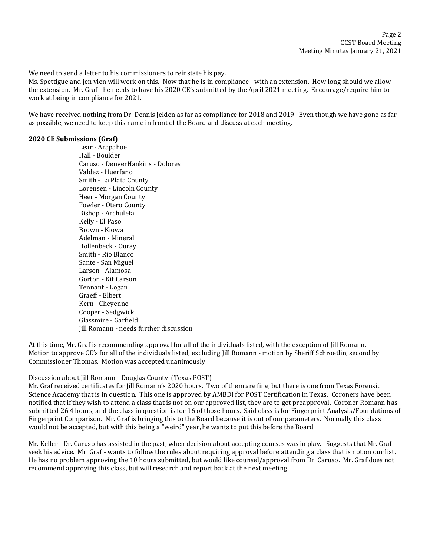We need to send a letter to his commissioners to reinstate his pay.

Ms. Spettigue and jen vien will work on this. Now that he is in compliance - with an extension. How long should we allow the extension. Mr. Graf - he needs to have his 2020 CE's submitted by the April 2021 meeting. Encourage/require him to work at being in compliance for 2021.

We have received nothing from Dr. Dennis Jelden as far as compliance for 2018 and 2019. Even though we have gone as far as possible, we need to keep this name in front of the Board and discuss at each meeting.

#### **2020 CE Submissions (Graf)**

Lear - Arapahoe Hall - Boulder Caruso - DenverHankins - Dolores Valdez - Huerfano Smith - La Plata County Lorensen - Lincoln County Heer - Morgan County Fowler - Otero County Bishop - Archuleta Kelly - El Paso Brown - Kiowa Adelman - Mineral Hollenbeck - Ouray Smith - Rio Blanco Sante - San Miguel Larson - Alamosa Gorton - Kit Carson Tennant - Logan Graeff - Elbert Kern - Cheyenne Cooper - Sedgwick Glassmire - Garfield Jill Romann - needs further discussion

At this time, Mr. Graf is recommending approval for all of the individuals listed, with the exception of Jill Romann. Motion to approve CE's for all of the individuals listed, excluding Jill Romann - motion by Sheriff Schroetlin, second by Commissioner Thomas. Motion was accepted unanimously.

#### Discussion about Jill Romann - Douglas County (Texas POST)

Mr. Graf received certificates for Jill Romann's 2020 hours. Two of them are fine, but there is one from Texas Forensic Science Academy that is in question. This one is approved by AMBDI for POST Certification in Texas. Coroners have been notified that if they wish to attend a class that is not on our approved list, they are to get preapproval. Coroner Romann has submitted 26.4 hours, and the class in question is for 16 of those hours. Said class is for Fingerprint Analysis/Foundations of Fingerprint Comparison. Mr. Graf is bringing this to the Board because it is out of our parameters. Normally this class would not be accepted, but with this being a "weird" year, he wants to put this before the Board.

Mr. Keller - Dr. Caruso has assisted in the past, when decision about accepting courses was in play. Suggests that Mr. Graf seek his advice. Mr. Graf - wants to follow the rules about requiring approval before attending a class that is not on our list. He has no problem approving the 10 hours submitted, but would like counsel/approval from Dr. Caruso. Mr. Graf does not recommend approving this class, but will research and report back at the next meeting.